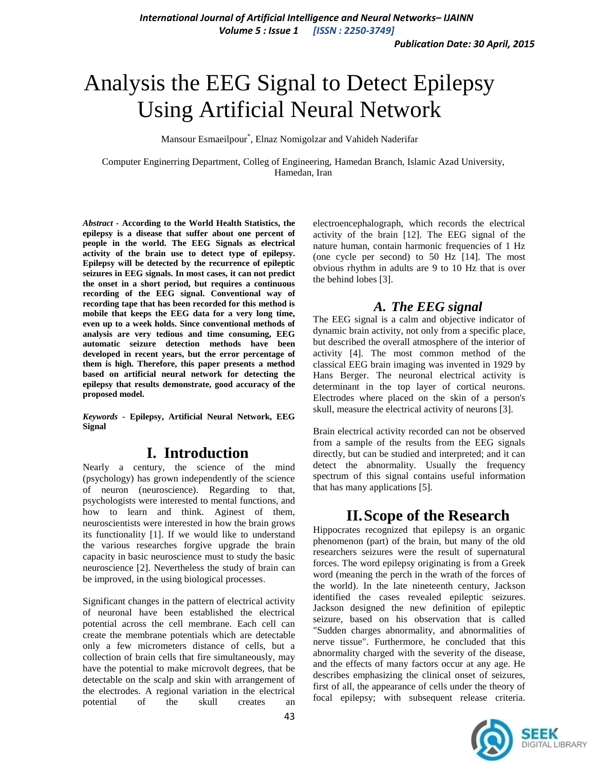# Analysis the EEG Signal to Detect Epilepsy Using Artificial Neural Network

Mansour Esmaeilpour\* , Elnaz Nomigolzar and Vahideh Naderifar

Computer Enginerring Department, Colleg of Engineering, Hamedan Branch, Islamic Azad University, Hamedan, Iran

*Abstract -* **According to the World Health Statistics, the epilepsy is a disease that suffer about one percent of people in the world. The EEG Signals as electrical activity of the brain use to detect type of epilepsy. Epilepsy will be detected by the recurrence of epileptic seizures in EEG signals. In most cases, it can not predict the onset in a short period, but requires a continuous recording of the EEG signal. Conventional way of recording tape that has been recorded for this method is mobile that keeps the EEG data for a very long time, even up to a week holds. Since conventional methods of analysis are very tedious and time consuming, EEG automatic seizure detection methods have been developed in recent years, but the error percentage of them is high. Therefore, this paper presents a method based on artificial neural network for detecting the epilepsy that results demonstrate, good accuracy of the proposed model.**

*Keywords -* **Epilepsy, Artificial Neural Network, EEG Signal**

### **I. Introduction**

Nearly a century, the science of the mind (psychology) has grown independently of the science of neuron (neuroscience). Regarding to that, psychologists were interested to mental functions, and how to learn and think. Aginest of them, neuroscientists were interested in how the brain grows its functionality [1]. If we would like to understand the various researches forgive upgrade the brain capacity in basic neuroscience must to study the basic neuroscience [2]. Nevertheless the study of brain can be improved, in the using biological processes.

Significant changes in the pattern of electrical activity of neuronal have been established the electrical potential across the cell membrane. Each cell can create the membrane potentials which are detectable only a few micrometers distance of cells, but a collection of brain cells that fire simultaneously, may have the potential to make microvolt degrees, that be detectable on the scalp and skin with arrangement of the electrodes. A regional variation in the electrical potential of the skull creates an

electroencephalograph, which records the electrical activity of the brain [12]. The EEG signal of the nature human, contain harmonic frequencies of 1 Hz (one cycle per second) to 50 Hz [14]. The most obvious rhythm in adults are 9 to 10 Hz that is over the behind lobes [3].

#### *A. The EEG signal*

The EEG signal is a calm and objective indicator of dynamic brain activity, not only from a specific place, but described the overall atmosphere of the interior of activity [4]. The most common method of the classical EEG brain imaging was invented in 1929 by Hans Berger. The neuronal electrical activity is determinant in the top layer of cortical neurons. Electrodes where placed on the skin of a person's skull, measure the electrical activity of neurons [3].

Brain electrical activity recorded can not be observed from a sample of the results from the EEG signals directly, but can be studied and interpreted; and it can detect the abnormality. Usually the frequency spectrum of this signal contains useful information that has many applications [5].

### **II.Scope of the Research**

Hippocrates recognized that epilepsy is an organic phenomenon (part) of the brain, but many of the old researchers seizures were the result of supernatural forces. The word epilepsy originating is from a Greek word (meaning the perch in the wrath of the forces of the world). In the late nineteenth century, Jackson identified the cases revealed epileptic seizures. Jackson designed the new definition of epileptic seizure, based on his observation that is called "Sudden charges abnormality, and abnormalities of nerve tissue". Furthermore, he concluded that this abnormality charged with the severity of the disease, and the effects of many factors occur at any age. He describes emphasizing the clinical onset of seizures, first of all, the appearance of cells under the theory of focal epilepsy; with subsequent release criteria.

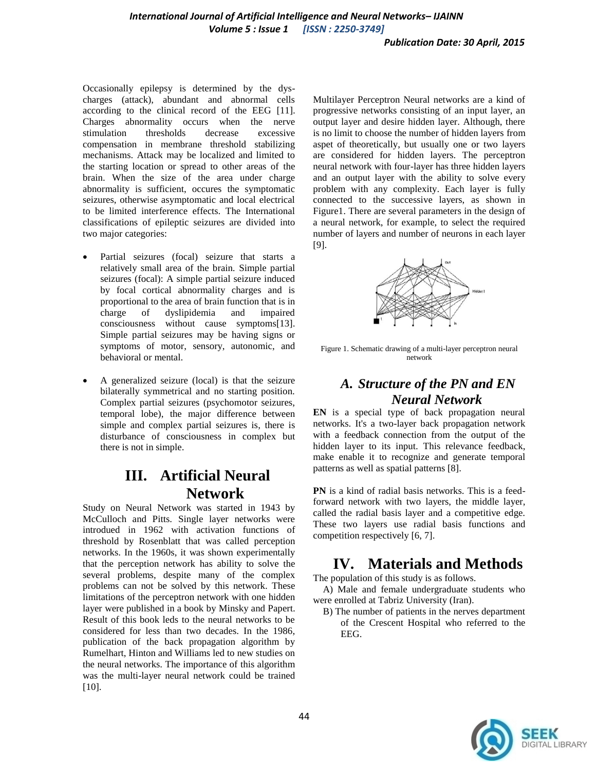Occasionally epilepsy is determined by the dyscharges (attack), abundant and abnormal cells according to the clinical record of the EEG [11]. Charges abnormality occurs when the nerve stimulation thresholds decrease excessive compensation in membrane threshold stabilizing mechanisms. Attack may be localized and limited to the starting location or spread to other areas of the brain. When the size of the area under charge abnormality is sufficient, occures the symptomatic seizures, otherwise asymptomatic and local electrical to be limited interference effects. The International classifications of epileptic seizures are divided into two major categories:

- Partial seizures (focal) seizure that starts a relatively small area of the brain. Simple partial seizures (focal): A simple partial seizure induced by focal cortical abnormality charges and is proportional to the area of brain function that is in charge of dyslipidemia and impaired consciousness without cause symptoms[13]. Simple partial seizures may be having signs or symptoms of motor, sensory, autonomic, and behavioral or mental.
- A generalized seizure (local) is that the seizure bilaterally symmetrical and no starting position. Complex partial seizures (psychomotor seizures, temporal lobe), the major difference between simple and complex partial seizures is, there is disturbance of consciousness in complex but there is not in simple.

### **III. Artificial Neural Network**

Study on Neural Network was started in 1943 by McCulloch and Pitts. Single layer networks were introdued in 1962 with activation functions of threshold by Rosenblatt that was called perception networks. In the 1960s, it was shown experimentally that the perception network has ability to solve the several problems, despite many of the complex problems can not be solved by this network. These limitations of the perceptron network with one hidden layer were published in a book by Minsky and Papert. Result of this book leds to the neural networks to be considered for less than two decades. In the 1986, publication of the back propagation algorithm by Rumelhart, Hinton and Williams led to new studies on the neural networks. The importance of this algorithm was the multi-layer neural network could be trained [10].

Multilayer Perceptron Neural networks are a kind of progressive networks consisting of an input layer, an output layer and desire hidden layer. Although, there is no limit to choose the number of hidden layers from aspet of theoretically, but usually one or two layers are considered for hidden layers. The perceptron neural network with four-layer has three hidden layers and an output layer with the ability to solve every problem with any complexity. Each layer is fully connected to the successive layers, as shown in Figure1. There are several parameters in the design of a neural network, for example, to select the required number of layers and number of neurons in each layer [9].



Figure 1. Schematic drawing of a multi-layer perceptron neural network

#### *A. Structure of the PN and EN Neural Network*

**EN** is a special type of back propagation neural networks. It's a two-layer back propagation network with a feedback connection from the output of the hidden layer to its input. This relevance feedback, make enable it to recognize and generate temporal patterns as well as spatial patterns [8].

**PN** is a kind of radial basis networks. This is a feedforward network with two layers, the middle layer, called the radial basis layer and a competitive edge. These two layers use radial basis functions and competition respectively [6, 7].

## **IV. Materials and Methods**

The population of this study is as follows.

 A) Male and female undergraduate students who were enrolled at Tabriz University (Iran).

 B) The number of patients in the nerves department of the Crescent Hospital who referred to the EEG.

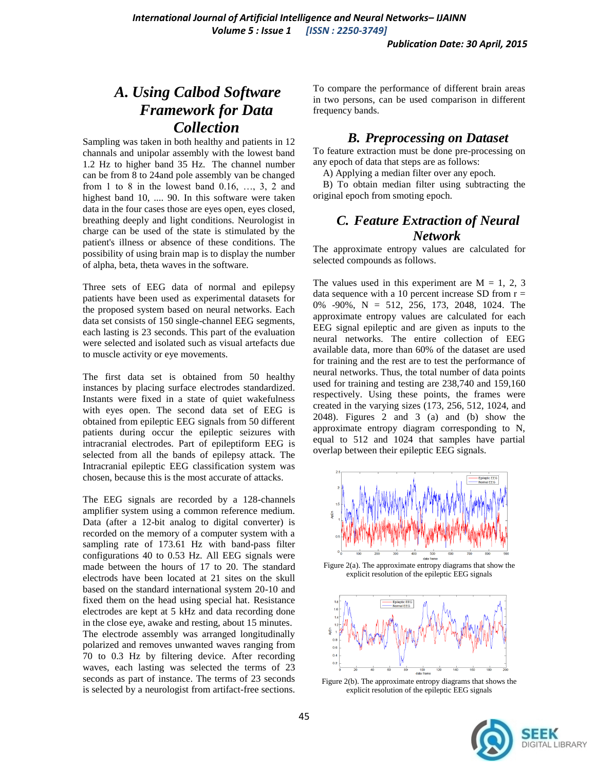### *A. Using Calbod Software Framework for Data Collection*

Sampling was taken in both healthy and patients in 12 channals and unipolar assembly with the lowest band 1.2 Hz to higher band 35 Hz. The channel number can be from 8 to 24and pole assembly van be changed from 1 to 8 in the lowest band  $0.16, \ldots, 3, 2$  and highest band 10, .... 90. In this software were taken data in the four cases those are eyes open, eyes closed, breathing deeply and light conditions. Neurologist in charge can be used of the state is stimulated by the patient's illness or absence of these conditions. The possibility of using brain map is to display the number of alpha, beta, theta waves in the software.

Three sets of EEG data of normal and epilepsy patients have been used as experimental datasets for the proposed system based on neural networks. Each data set consists of 150 single-channel EEG segments, each lasting is 23 seconds. This part of the evaluation were selected and isolated such as visual artefacts due to muscle activity or eye movements.

The first data set is obtained from 50 healthy instances by placing surface electrodes standardized. Instants were fixed in a state of quiet wakefulness with eyes open. The second data set of EEG is obtained from epileptic EEG signals from 50 different patients during occur the epileptic seizures with intracranial electrodes. Part of epileptiform EEG is selected from all the bands of epilepsy attack. The Intracranial epileptic EEG classification system was chosen, because this is the most accurate of attacks.

The EEG signals are recorded by a 128-channels amplifier system using a common reference medium. Data (after a 12-bit analog to digital converter) is recorded on the memory of a computer system with a sampling rate of 173.61 Hz with band-pass filter configurations 40 to 0.53 Hz. All EEG signals were made between the hours of 17 to 20. The standard electrods have been located at 21 sites on the skull based on the standard international system 20-10 and fixed them on the head using special hat. Resistance electrodes are kept at 5 kHz and data recording done in the close eye, awake and resting, about 15 minutes. The electrode assembly was arranged longitudinally polarized and removes unwanted waves ranging from 70 to 0.3 Hz by filtering device. After recording waves, each lasting was selected the terms of 23 seconds as part of instance. The terms of 23 seconds is selected by a neurologist from artifact-free sections.

To compare the performance of different brain areas in two persons, can be used comparison in different frequency bands.

#### *B. Preprocessing on Dataset*

To feature extraction must be done pre-processing on any epoch of data that steps are as follows:

A) Applying a median filter over any epoch.

 B) To obtain median filter using subtracting the original epoch from smoting epoch.

#### *C. Feature Extraction of Neural Network*

The approximate entropy values are calculated for selected compounds as follows.

The values used in this experiment are  $M = 1, 2, 3$ data sequence with a 10 percent increase SD from  $r =$ 0% -90%, N = 512, 256, 173, 2048, 1024. The approximate entropy values are calculated for each EEG signal epileptic and are given as inputs to the neural networks. The entire collection of EEG available data, more than 60% of the dataset are used for training and the rest are to test the performance of neural networks. Thus, the total number of data points used for training and testing are 238,740 and 159,160 respectively. Using these points, the frames were created in the varying sizes (173, 256, 512, 1024, and 2048). Figures 2 and 3 (a) and (b) show the approximate entropy diagram corresponding to N, equal to 512 and 1024 that samples have partial overlap between their epileptic EEG signals.



Figure 2(a). The approximate entropy diagrams that show the explicit resolution of the epileptic EEG signals



Figure 2(b). The approximate entropy diagrams that shows the explicit resolution of the epileptic EEG signals

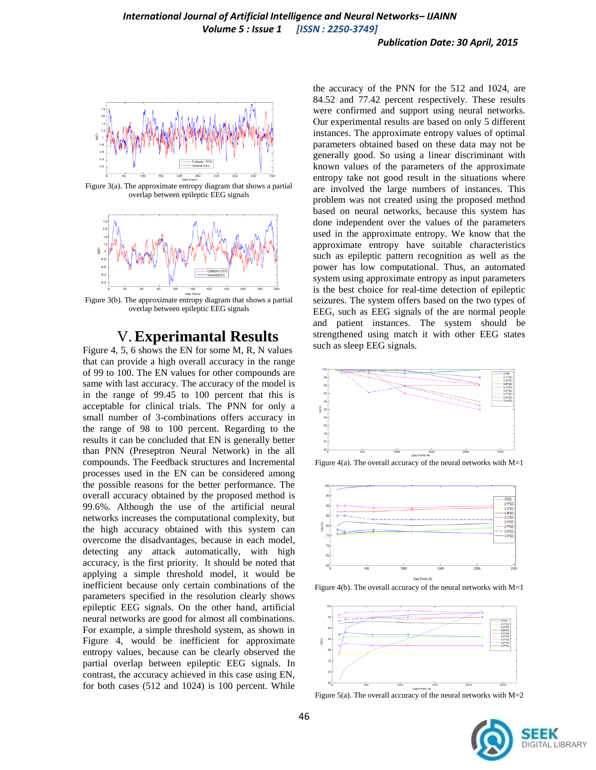

Figure 3(a). The approximate entropy diagram that shows a partial overlap between epileptic EEG signals



Figure 3(b). The approximate entropy diagram that shows a partial overlap between epileptic EEG signals

#### V.**Experimantal Results**

Figure 4, 5, 6 shows the EN for some M, R, N values that can provide a high overall accuracy in the range of 99 to 100. The EN values for other compounds are same with last accuracy. The accuracy of the model is in the range of 99.45 to 100 percent that this is acceptable for clinical trials. The PNN for only a small number of 3-combinations offers accuracy in the range of 98 to 100 percent. Regarding to the results it can be concluded that EN is generally better than PNN (Preseptron Neural Network) in the all compounds. The Feedback structures and Incremental processes used in the EN can be considered among the possible reasons for the better performance. The overall accuracy obtained by the proposed method is 99.6%. Although the use of the artificial neural networks increases the computational complexity, but the high accuracy obtained with this system can overcome the disadvantages, because in each model, detecting any attack automatically, with high accuracy, is the first priority. It should be noted that applying a simple threshold model, it would be inefficient because only certain combinations of the parameters specified in the resolution clearly shows epileptic EEG signals. On the other hand, artificial neural networks are good for almost all combinations. For example, a simple threshold system, as shown in Figure 4, would be inefficient for approximate entropy values, because can be clearly observed the partial overlap between epileptic EEG signals. In contrast, the accuracy achieved in this case using EN, for both cases (512 and 1024) is 100 percent. While

the accuracy of the PNN for the 512 and 1024, are 84.52 and 77.42 percent respectively. These results were confirmed and support using neural networks. Our experimental results are based on only 5 different instances. The approximate entropy values of optimal parameters obtained based on these data may not be generally good. So using a linear discriminant with known values of the parameters of the approximate entropy take not good result in the situations where are involved the large numbers of instances. This problem was not created using the proposed method based on neural networks, because this system has done independent over the values of the parameters used in the approximate entropy. We know that the approximate entropy have suitable characteristics such as epileptic pattern recognition as well as the power has low computational. Thus, an automated system using approximate entropy as input parameters is the best choice for real-time detection of epileptic seizures. The system offers based on the two types of EEG, such as EEG signals of the are normal people and patient instances. The system should be strengthened using match it with other EEG states such as sleep EEG signals.



Figure 4(a). The overall accuracy of the neural networks with  $M=1$ 



Figure 4(b). The overall accuracy of the neural networks with M=1



Figure 5(a). The overall accuracy of the neural networks with  $M=2$